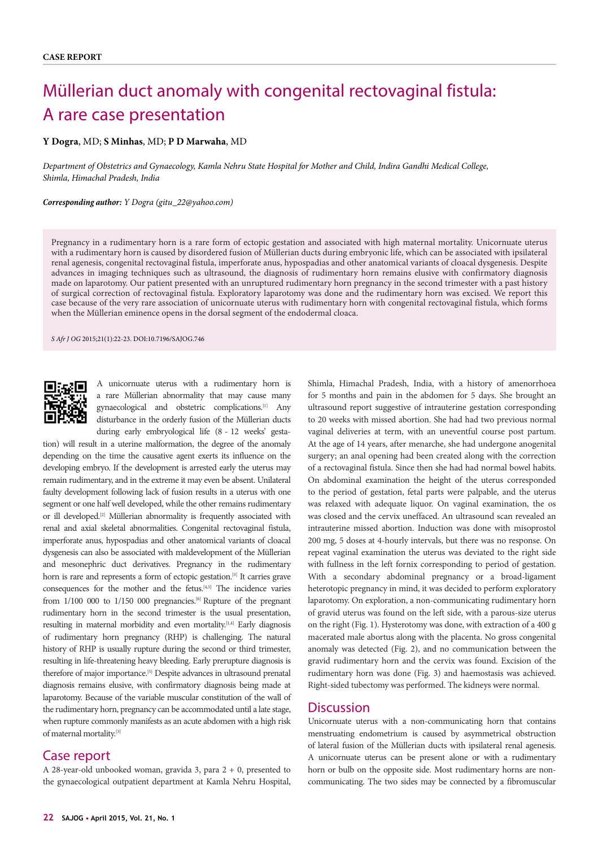# Müllerian duct anomaly with congenital rectovaginal fistula: A rare case presentation

#### **Y Dogra**, MD; **S Minhas**, MD; **P D Marwaha**, MD

*Department of Obstetrics and Gynaecology, Kamla Nehru State Hospital for Mother and Child, Indira Gandhi Medical College, Shimla, Himachal Pradesh, India*

*Corresponding author: Y Dogra (gitu\_22@yahoo.com)*

Pregnancy in a rudimentary horn is a rare form of ectopic gestation and associated with high maternal mortality. Unicornuate uterus with a rudimentary horn is caused by disordered fusion of Müllerian ducts during embryonic life, which can be associated with ipsilateral renal agenesis, congenital rectovaginal fistula, imperforate anus, hypospadias and other anatomical variants of cloacal dysgenesis. Despite advances in imaging techniques such as ultrasound, the diagnosis of rudimentary horn remains elusive with confirmatory diagnosis made on laparotomy. Our patient presented with an unruptured rudimentary horn pregnancy in the second trimester with a past history of surgical correction of rectovaginal fistula. Exploratory laparotomy was done and the rudimentary horn was excised. We report this case because of the very rare association of unicornuate uterus with rudimentary horn with congenital rectovaginal fistula, which forms when the Müllerian eminence opens in the dorsal segment of the endodermal cloaca.

*S Afr J OG* 2015;21(1):22-23. DOI:10.7196/SAJOG.746



A unicornuate uterus with a rudimentary horn is a rare Müllerian abnormality that may cause many gynaecological and obstetric complications.[1] Any disturbance in the orderly fusion of the Müllerian ducts during early embryological life (8 - 12 weeks' gesta-

tion) will result in a uterine malformation, the degree of the anomaly depending on the time the causative agent exerts its influence on the developing embryo. If the development is arrested early the uterus may remain rudimentary, and in the extreme it may even be absent. Unilateral faulty development following lack of fusion results in a uterus with one segment or one half well developed, while the other remains rudimentary or ill developed.[2] Müllerian abnormality is frequently associated with renal and axial skeletal abnormalities. Congenital rectovaginal fistula, imperforate anus, hypospadias and other anatomical variants of cloacal dysgenesis can also be associated with maldevelopment of the Müllerian and mesonephric duct derivatives. Pregnancy in the rudimentary horn is rare and represents a form of ectopic gestation.<sup>[3]</sup> It carries grave consequences for the mother and the fetus.[4,5] The incidence varies from  $1/100$  000 to  $1/150$  000 pregnancies.<sup>[6]</sup> Rupture of the pregnant rudimentary horn in the second trimester is the usual presentation, resulting in maternal morbidity and even mortality.<sup>[1,4]</sup> Early diagnosis of rudimentary horn pregnancy (RHP) is challenging. The natural history of RHP is usually rupture during the second or third trimester, resulting in life-threatening heavy bleeding. Early prerupture diagnosis is therefore of major importance.<sup>[5]</sup> Despite advances in ultrasound prenatal diagnosis remains elusive, with confirmatory diagnosis being made at laparotomy. Because of the variable muscular constitution of the wall of the rudimentary horn, pregnancy can be accommodated until a late stage, when rupture commonly manifests as an acute abdomen with a high risk of maternal mortality.[3]

### Case report

A 28-year-old unbooked woman, gravida 3, para 2 + 0, presented to the gynaecological outpatient department at Kamla Nehru Hospital,

Shimla, Himachal Pradesh, India, with a history of amenorrhoea for 5 months and pain in the abdomen for 5 days. She brought an ultrasound report suggestive of intrauterine gestation corresponding to 20 weeks with missed abortion. She had had two previous normal vaginal deliveries at term, with an uneventful course post partum. At the age of 14 years, after menarche, she had undergone anogenital surgery; an anal opening had been created along with the correction of a rectovaginal fistula. Since then she had had normal bowel habits. On abdominal examination the height of the uterus corresponded to the period of gestation, fetal parts were palpable, and the uterus was relaxed with adequate liquor. On vaginal examination, the os was closed and the cervix uneffaced. An ultrasound scan revealed an intrauterine missed abortion. Induction was done with misoprostol 200 mg, 5 doses at 4-hourly intervals, but there was no response. On repeat vaginal examination the uterus was deviated to the right side with fullness in the left fornix corresponding to period of gestation. With a secondary abdominal pregnancy or a broad-ligament heterotopic pregnancy in mind, it was decided to perform exploratory laparotomy. On exploration, a non-communicating rudimentary horn of gravid uterus was found on the left side, with a parous-size uterus on the right (Fig. 1). Hysterotomy was done, with extraction of a 400 g macerated male abortus along with the placenta. No gross congenital anomaly was detected (Fig. 2), and no communication between the gravid rudimentary horn and the cervix was found. Excision of the rudimentary horn was done (Fig. 3) and haemostasis was achieved. Right-sided tubectomy was performed. The kidneys were normal.

#### **Discussion**

Unicornuate uterus with a non-communicating horn that contains menstruating endometrium is caused by asymmetrical obstruction of lateral fusion of the Müllerian ducts with ipsilateral renal agenesis. A unicornuate uterus can be present alone or with a rudimentary horn or bulb on the opposite side. Most rudimentary horns are noncommunicating. The two sides may be connected by a fibromuscular